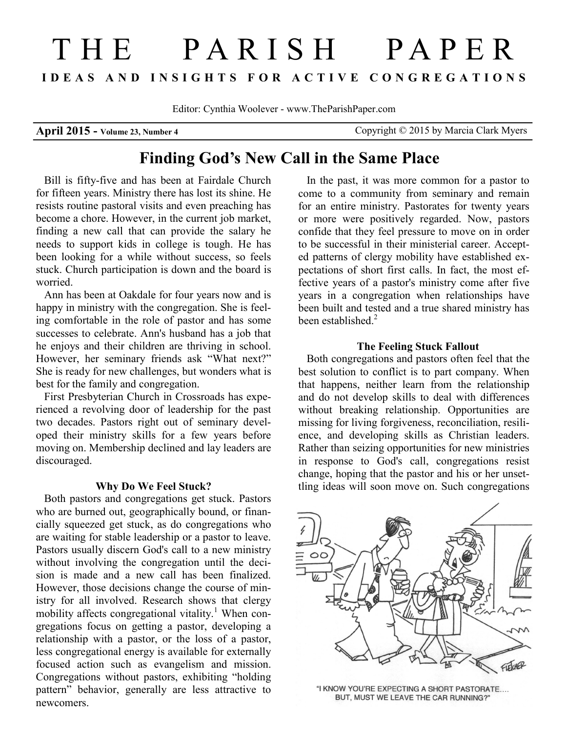# THE PARISH PAPER **I D E A S A N D I N S I G H T S F O R A C T I V E C O N G R E G A T I O N S**

Editor: Cynthia Woolever - www.TheParishPaper.com

**April 2015 - Volume 23, Number 4** Copyright © 2015 by Marcia Clark Myers

## **Finding God's New Call in the Same Place**

Bill is fifty-five and has been at Fairdale Church for fifteen years. Ministry there has lost its shine. He resists routine pastoral visits and even preaching has become a chore. However, in the current job market, finding a new call that can provide the salary he needs to support kids in college is tough. He has been looking for a while without success, so feels stuck. Church participation is down and the board is worried.

Ann has been at Oakdale for four years now and is happy in ministry with the congregation. She is feeling comfortable in the role of pastor and has some successes to celebrate. Ann's husband has a job that he enjoys and their children are thriving in school. However, her seminary friends ask "What next?" She is ready for new challenges, but wonders what is best for the family and congregation.

First Presbyterian Church in Crossroads has experienced a revolving door of leadership for the past two decades. Pastors right out of seminary developed their ministry skills for a few years before moving on. Membership declined and lay leaders are discouraged.

#### **Why Do We Feel Stuck?**

Both pastors and congregations get stuck. Pastors who are burned out, geographically bound, or financially squeezed get stuck, as do congregations who are waiting for stable leadership or a pastor to leave. Pastors usually discern God's call to a new ministry without involving the congregation until the decision is made and a new call has been finalized. However, those decisions change the course of ministry for all involved. Research shows that clergy mobility affects congregational vitality.<sup>1</sup> When congregations focus on getting a pastor, developing a relationship with a pastor, or the loss of a pastor, less congregational energy is available for externally focused action such as evangelism and mission. Congregations without pastors, exhibiting "holding pattern" behavior, generally are less attractive to newcomers.

In the past, it was more common for a pastor to come to a community from seminary and remain for an entire ministry. Pastorates for twenty years or more were positively regarded. Now, pastors confide that they feel pressure to move on in order to be successful in their ministerial career. Accepted patterns of clergy mobility have established expectations of short first calls. In fact, the most effective years of a pastor's ministry come after five years in a congregation when relationships have been built and tested and a true shared ministry has been established.<sup>2</sup>

#### **The Feeling Stuck Fallout**

Both congregations and pastors often feel that the best solution to conflict is to part company. When that happens, neither learn from the relationship and do not develop skills to deal with differences without breaking relationship. Opportunities are missing for living forgiveness, reconciliation, resilience, and developing skills as Christian leaders. Rather than seizing opportunities for new ministries in response to God's call, congregations resist change, hoping that the pastor and his or her unsettling ideas will soon move on. Such congregations



"I KNOW YOU'RE EXPECTING A SHORT PASTORATE.... BUT, MUST WE LEAVE THE CAR RUNNING?"